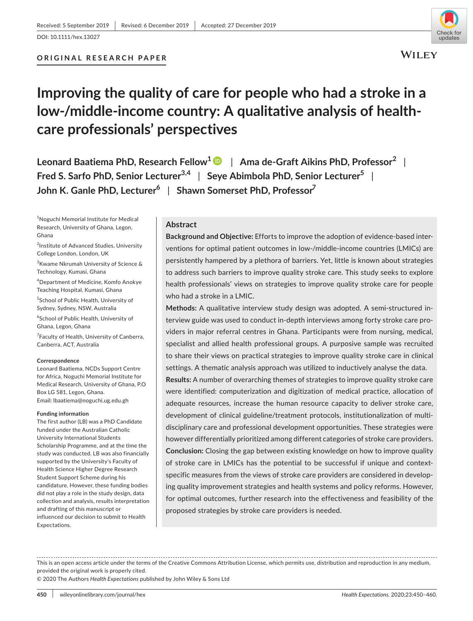DOI: 10.1111/hex.13027

# **ORIGINAL RESEARCH PAPER**



# **Improving the quality of care for people who had a stroke in a low-/middle-income country: A qualitative analysis of healthcare professionals' perspectives**

**Leonard Baatiema PhD, Research Fellow[1](https://orcid.org/0000-0003-3286-6565)** | **Ama de-Graft Aikins PhD, Professor<sup>2</sup>** | **Fred S. Sarfo PhD, Senior Lecturer3,4** | **Seye Abimbola PhD, Senior Lecturer5** | **John K. Ganle PhD, Lecturer6** | **Shawn Somerset PhD, Professor7**

1 Noguchi Memorial Institute for Medical Research, University of Ghana, Legon, Ghana

<sup>2</sup>Institute of Advanced Studies, University College London, London, UK

3 Kwame Nkrumah University of Science & Technology, Kumasi, Ghana

4 Department of Medicine, Komfo Anokye Teaching Hospital, Kumasi, Ghana

5 School of Public Health, University of Sydney, Sydney, NSW, Australia

6 School of Public Health, University of Ghana, Legon, Ghana

<sup>7</sup> Faculty of Health, University of Canberra, Canberra, ACT, Australia

#### **Correspondence**

Leonard Baatiema, NCDs Support Centre for Africa, Noguchi Memorial Institute for Medical Research, University of Ghana, P.O Box LG 581, Legon, Ghana. Email: [lbaatiema@noguchi.ug.edu.gh](mailto:lbaatiema@noguchi.ug.edu.gh)

#### **Funding information**

The first author (LB) was a PhD Candidate funded under the Australian Catholic University International Students Scholarship Programme, and at the time the study was conducted. LB was also financially supported by the University's Faculty of Health Science Higher Degree Research Student Support Scheme during his candidature. However, these funding bodies did not play a role in the study design, data collection and analysis, results interpretation and drafting of this manuscript or influenced our decision to submit to Health Expectations.

#### **Abstract**

**Background and Objective:** Efforts to improve the adoption of evidence-based interventions for optimal patient outcomes in low-/middle-income countries (LMICs) are persistently hampered by a plethora of barriers. Yet, little is known about strategies to address such barriers to improve quality stroke care. This study seeks to explore health professionals' views on strategies to improve quality stroke care for people who had a stroke in a LMIC.

**Methods:** A qualitative interview study design was adopted. A semi-structured interview guide was used to conduct in-depth interviews among forty stroke care providers in major referral centres in Ghana. Participants were from nursing, medical, specialist and allied health professional groups. A purposive sample was recruited to share their views on practical strategies to improve quality stroke care in clinical settings. A thematic analysis approach was utilized to inductively analyse the data.

**Results:** A number of overarching themes of strategies to improve quality stroke care were identified: computerization and digitization of medical practice, allocation of adequate resources, increase the human resource capacity to deliver stroke care, development of clinical guideline/treatment protocols, institutionalization of multidisciplinary care and professional development opportunities. These strategies were however differentially prioritized among different categories of stroke care providers. **Conclusion:** Closing the gap between existing knowledge on how to improve quality of stroke care in LMICs has the potential to be successful if unique and contextspecific measures from the views of stroke care providers are considered in developing quality improvement strategies and health systems and policy reforms. However, for optimal outcomes, further research into the effectiveness and feasibility of the proposed strategies by stroke care providers is needed.

This is an open access article under the terms of the [Creative Commons Attribution](http://creativecommons.org/licenses/by/4.0/) License, which permits use, distribution and reproduction in any medium, provided the original work is properly cited.

© 2020 The Authors *Health Expectations* published by John Wiley & Sons Ltd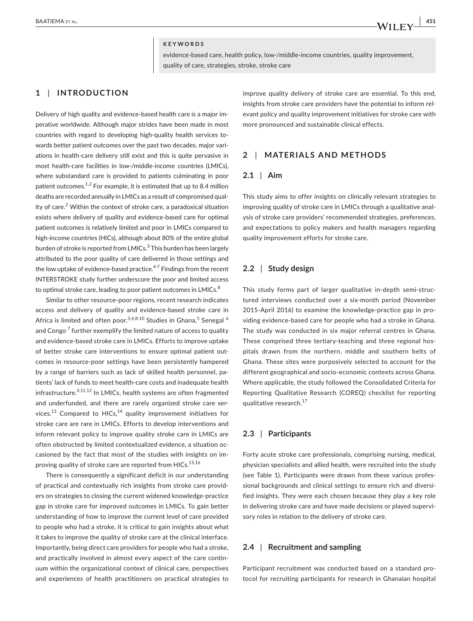#### **KEYWORDS**

evidence-based care, health policy, low-/middle-income countries, quality improvement, quality of care, strategies, stroke, stroke care

# **1** | **INTRODUCTION**

Delivery of high quality and evidence-based health care is a major imperative worldwide. Although major strides have been made in most countries with regard to developing high-quality health services towards better patient outcomes over the past two decades, major variations in health-care delivery still exist and this is quite pervasive in most health-care facilities in low-/middle-income countries (LMICs), where substandard care is provided to patients culminating in poor patient outcomes.<sup>1,2</sup> For example, it is estimated that up to 8.4 million deaths are recorded annually in LMICs as a result of compromised quality of care.<sup>2</sup> Within the context of stroke care, a paradoxical situation exists where delivery of quality and evidence-based care for optimal patient outcomes is relatively limited and poor in LMICs compared to high-income countries (HICs), although about 80% of the entire global burden of stroke is reported from LMICs.<sup>3</sup> This burden has been largely attributed to the poor quality of care delivered in those settings and the low uptake of evidence-based practice. $4-7$  Findings from the recent INTERSTROKE study further underscore the poor and limited access to optimal stroke care, leading to poor patient outcomes in LMICs.<sup>8</sup>

Similar to other resource-poor regions, recent research indicates access and delivery of quality and evidence-based stroke care in Africa is limited and often poor. $^{3,4,8\text{-}10}$  Studies in Ghana, $^5$  Senegal  $^6$ and Congo <sup>7</sup> further exemplify the limited nature of access to quality and evidence-based stroke care in LMICs. Efforts to improve uptake of better stroke care interventions to ensure optimal patient outcomes in resource-poor settings have been persistently hampered by a range of barriers such as lack of skilled health personnel, patients' lack of funds to meet health-care costs and inadequate health infrastructure.<sup>4,11,12</sup> In LMICs, health systems are often fragmented and underfunded, and there are rarely organized stroke care services.<sup>13</sup> Compared to HICs,<sup>14</sup> quality improvement initiatives for stroke care are rare in LMICs. Efforts to develop interventions and inform relevant policy to improve quality stroke care in LMICs are often obstructed by limited contextualized evidence, a situation occasioned by the fact that most of the studies with insights on improving quality of stroke care are reported from HICs.<sup>15,16</sup>

There is consequently a significant deficit in our understanding of practical and contextually rich insights from stroke care providers on strategies to closing the current widened knowledge-practice gap in stroke care for improved outcomes in LMICs. To gain better understanding of how to improve the current level of care provided to people who had a stroke, it is critical to gain insights about what it takes to improve the quality of stroke care at the clinical interface. Importantly, being direct care providers for people who had a stroke, and practically involved in almost every aspect of the care continuum within the organizational context of clinical care, perspectives and experiences of health practitioners on practical strategies to

improve quality delivery of stroke care are essential. To this end, insights from stroke care providers have the potential to inform relevant policy and quality improvement initiatives for stroke care with more pronounced and sustainable clinical effects.

# **2** | **MATERIALS AND METHODS**

#### **2.1** | **Aim**

This study aims to offer insights on clinically relevant strategies to improving quality of stroke care in LMICs through a qualitative analysis of stroke care providers' recommended strategies, preferences, and expectations to policy makers and health managers regarding quality improvement efforts for stroke care.

#### **2.2** | **Study design**

This study forms part of larger qualitative in-depth semi-structured interviews conducted over a six-month period (November 2015-April 2016) to examine the knowledge-practice gap in providing evidence-based care for people who had a stroke in Ghana. The study was conducted in six major referral centres in Ghana. These comprised three tertiary-teaching and three regional hospitals drawn from the northern, middle and southern belts of Ghana. These sites were purposively selected to account for the different geographical and socio-economic contexts across Ghana. Where applicable, the study followed the Consolidated Criteria for Reporting Qualitative Research (COREQ) checklist for reporting qualitative research.<sup>17</sup>

### **2.3** | **Participants**

Forty acute stroke care professionals, comprising nursing, medical, physician specialists and allied health, were recruited into the study (see Table 1). Participants were drawn from these various professional backgrounds and clinical settings to ensure rich and diversified insights. They were each chosen because they play a key role in delivering stroke care and have made decisions or played supervisory roles in relation to the delivery of stroke care.

# **2.4** | **Recruitment and sampling**

Participant recruitment was conducted based on a standard protocol for recruiting participants for research in Ghanaian hospital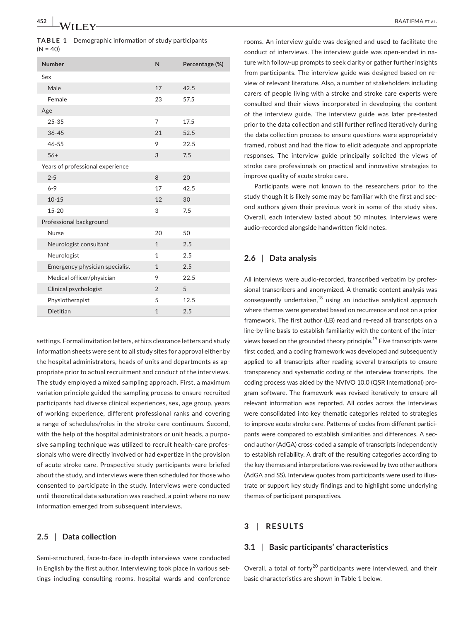**TABLE 1** Demographic information of study participants  $(N = 40)$ 

| <b>Number</b>                    | N              | Percentage (%) |
|----------------------------------|----------------|----------------|
| Sex                              |                |                |
| Male                             | 17             | 42.5           |
| Female                           | 23             | 57.5           |
| Age                              |                |                |
| $25 - 35$                        | 7              | 17.5           |
| $36 - 45$                        | 21             | 52.5           |
| $46 - 55$                        | 9              | 22.5           |
| $56+$                            | 3              | 7.5            |
| Years of professional experience |                |                |
| $2 - 5$                          | 8              | 20             |
| $6 - 9$                          | 17             | 42.5           |
| $10 - 15$                        | 12             | 30             |
| $15 - 20$                        | 3              | 7.5            |
| Professional background          |                |                |
| Nurse                            | 20             | 50             |
| Neurologist consultant           | $\mathbf{1}$   | 2.5            |
| Neurologist                      | 1              | 2.5            |
| Emergency physician specialist   | $\mathbf{1}$   | 2.5            |
| Medical officer/physician        | 9              | 22.5           |
| Clinical psychologist            | $\mathfrak{D}$ | 5              |
| Physiotherapist                  | 5              | 12.5           |
| Dietitian                        | $\mathbf{1}$   | 2.5            |

settings. Formal invitation letters, ethics clearance letters and study information sheets were sent to all study sites for approval either by the hospital administrators, heads of units and departments as appropriate prior to actual recruitment and conduct of the interviews. The study employed a mixed sampling approach. First, a maximum variation principle guided the sampling process to ensure recruited participants had diverse clinical experiences, sex, age group, years of working experience, different professional ranks and covering a range of schedules/roles in the stroke care continuum. Second, with the help of the hospital administrators or unit heads, a purposive sampling technique was utilized to recruit health-care professionals who were directly involved or had expertize in the provision of acute stroke care. Prospective study participants were briefed about the study, and interviews were then scheduled for those who consented to participate in the study. Interviews were conducted until theoretical data saturation was reached, a point where no new information emerged from subsequent interviews.

## **2.5** | **Data collection**

Semi-structured, face-to-face in-depth interviews were conducted in English by the first author. Interviewing took place in various settings including consulting rooms, hospital wards and conference

rooms. An interview guide was designed and used to facilitate the conduct of interviews. The interview guide was open-ended in nature with follow-up prompts to seek clarity or gather further insights from participants. The interview guide was designed based on review of relevant literature. Also, a number of stakeholders including carers of people living with a stroke and stroke care experts were consulted and their views incorporated in developing the content of the interview guide. The interview guide was later pre-tested prior to the data collection and still further refined iteratively during the data collection process to ensure questions were appropriately framed, robust and had the flow to elicit adequate and appropriate responses. The interview guide principally solicited the views of stroke care professionals on practical and innovative strategies to improve quality of acute stroke care.

Participants were not known to the researchers prior to the study though it is likely some may be familiar with the first and second authors given their previous work in some of the study sites. Overall, each interview lasted about 50 minutes. Interviews were audio-recorded alongside handwritten field notes.

## **2.6** | **Data analysis**

All interviews were audio-recorded, transcribed verbatim by professional transcribers and anonymized. A thematic content analysis was consequently undertaken, $^{18}$  using an inductive analytical approach where themes were generated based on recurrence and not on a prior framework. The first author (LB) read and re-read all transcripts on a line-by-line basis to establish familiarity with the content of the interviews based on the grounded theory principle.<sup>19</sup> Five transcripts were first coded, and a coding framework was developed and subsequently applied to all transcripts after reading several transcripts to ensure transparency and systematic coding of the interview transcripts. The coding process was aided by the NVIVO 10.0 (QSR International) program software. The framework was revised iteratively to ensure all relevant information was reported. All codes across the interviews were consolidated into key thematic categories related to strategies to improve acute stroke care. Patterns of codes from different participants were compared to establish similarities and differences. A second author (AdGA) cross-coded a sample of transcripts independently to establish reliability. A draft of the resulting categories according to the key themes and interpretations was reviewed by two other authors (AdGA and SS). Interview quotes from participants were used to illustrate or support key study findings and to highlight some underlying themes of participant perspectives.

# **3** | **RESULTS**

# **3.1** | **Basic participants' characteristics**

Overall, a total of forty<sup>20</sup> participants were interviewed, and their basic characteristics are shown in Table 1 below.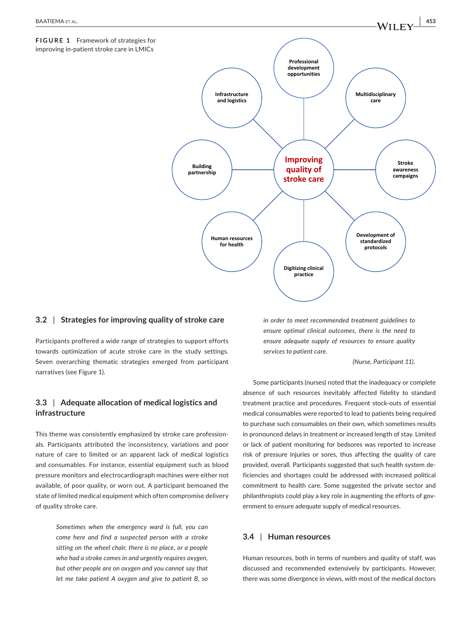

## **3.2** | **Strategies for improving quality of stroke care**

Participants proffered a wide range of strategies to support efforts towards optimization of acute stroke care in the study settings. Seven overarching thematic strategies emerged from participant narratives (see Figure 1).

# **3.3** | **Adequate allocation of medical logistics and infrastructure**

This theme was consistently emphasized by stroke care professionals. Participants attributed the inconsistency, variations and poor nature of care to limited or an apparent lack of medical logistics and consumables. For instance, essential equipment such as blood pressure monitors and electrocardiograph machines were either not available, of poor quality, or worn out. A participant bemoaned the state of limited medical equipment which often compromise delivery of quality stroke care.

> *Sometimes when the emergency ward is full, you can come here and find a suspected person with a stroke sitting on the wheel chair, there is no place, or a people who had a stroke comes in and urgently requires oxygen, but other people are on oxygen and you cannot say that let me take patient A oxygen and give to patient B, so*

*in order to meet recommended treatment guidelines to ensure optimal clinical outcomes, there is the need to ensure adequate supply of resources to ensure quality services to patient care.* 

*(Nurse, Participant 11).*

Some participants (nurses) noted that the inadequacy or complete absence of such resources inevitably affected fidelity to standard treatment practice and procedures. Frequent stock-outs of essential medical consumables were reported to lead to patients being required to purchase such consumables on their own, which sometimes results in pronounced delays in treatment or increased length of stay. Limited or lack of patient monitoring for bedsores was reported to increase risk of pressure injuries or sores, thus affecting the quality of care provided, overall. Participants suggested that such health system deficiencies and shortages could be addressed with increased political commitment to health care. Some suggested the private sector and philanthropists could play a key role in augmenting the efforts of government to ensure adequate supply of medical resources.

## **3.4** | **Human resources**

Human resources, both in terms of numbers and quality of staff, was discussed and recommended extensively by participants. However, there was some divergence in views, with most of the medical doctors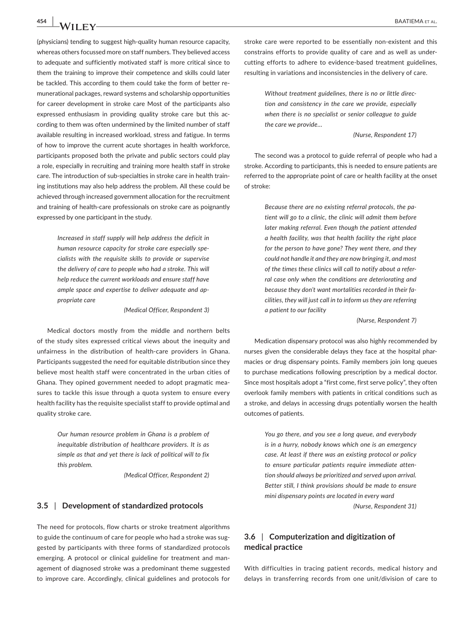(physicians) tending to suggest high-quality human resource capacity, whereas others focussed more on staff numbers. They believed access to adequate and sufficiently motivated staff is more critical since to them the training to improve their competence and skills could later be tackled. This according to them could take the form of better remunerational packages, reward systems and scholarship opportunities for career development in stroke care Most of the participants also expressed enthusiasm in providing quality stroke care but this according to them was often undermined by the limited number of staff available resulting in increased workload, stress and fatigue. In terms of how to improve the current acute shortages in health workforce, participants proposed both the private and public sectors could play a role, especially in recruiting and training more health staff in stroke care. The introduction of sub-specialties in stroke care in health training institutions may also help address the problem. All these could be achieved through increased government allocation for the recruitment and training of health-care professionals on stroke care as poignantly expressed by one participant in the study.

> *Increased in staff supply will help address the deficit in human resource capacity for stroke care especially specialists with the requisite skills to provide or supervise the delivery of care to people who had a stroke. This will help reduce the current workloads and ensure staff have ample space and expertise to deliver adequate and appropriate care*

> > *(Medical Officer, Respondent 3)*

Medical doctors mostly from the middle and northern belts of the study sites expressed critical views about the inequity and unfairness in the distribution of health-care providers in Ghana. Participants suggested the need for equitable distribution since they believe most health staff were concentrated in the urban cities of Ghana. They opined government needed to adopt pragmatic measures to tackle this issue through a quota system to ensure every health facility has the requisite specialist staff to provide optimal and quality stroke care.

> *Our human resource problem in Ghana is a problem of inequitable distribution of healthcare providers. It is as simple as that and yet there is lack of political will to fix this problem.*

> > *(Medical Officer, Respondent 2)*

# **3.5** | **Development of standardized protocols**

The need for protocols, flow charts or stroke treatment algorithms to guide the continuum of care for people who had a stroke was suggested by participants with three forms of standardized protocols emerging. A protocol or clinical guideline for treatment and management of diagnosed stroke was a predominant theme suggested to improve care. Accordingly, clinical guidelines and protocols for

stroke care were reported to be essentially non-existent and this constrains efforts to provide quality of care and as well as undercutting efforts to adhere to evidence-based treatment guidelines, resulting in variations and inconsistencies in the delivery of care.

> *Without treatment guidelines, there is no or little direction and consistency in the care we provide, especially when there is no specialist or senior colleague to guide the care we provide…*

#### *(Nurse, Respondent 17)*

The second was a protocol to guide referral of people who had a stroke. According to participants, this is needed to ensure patients are referred to the appropriate point of care or health facility at the onset of stroke:

> *Because there are no existing referral protocols, the patient will go to a clinic, the clinic will admit them before later making referral. Even though the patient attended a health facility, was that health facility the right place for the person to have gone? They went there, and they could not handle it and they are now bringing it, and most of the times these clinics will call to notify about a referral case only when the conditions are deteriorating and because they don't want mortalities recorded in their facilities, they will just call in to inform us they are referring a patient to our facility*

> > *(Nurse, Respondent 7)*

Medication dispensary protocol was also highly recommended by nurses given the considerable delays they face at the hospital pharmacies or drug dispensary points. Family members join long queues to purchase medications following prescription by a medical doctor. Since most hospitals adopt a "first come, first serve policy", they often overlook family members with patients in critical conditions such as a stroke, and delays in accessing drugs potentially worsen the health outcomes of patients.

> *You go there, and you see a long queue, and everybody is in a hurry, nobody knows which one is an emergency case. At least if there was an existing protocol or policy to ensure particular patients require immediate attention should always be prioritized and served upon arrival. Better still, I think provisions should be made to ensure mini dispensary points are located in every ward (Nurse, Respondent 31)*

# **3.6** | **Computerization and digitization of medical practice**

With difficulties in tracing patient records, medical history and delays in transferring records from one unit/division of care to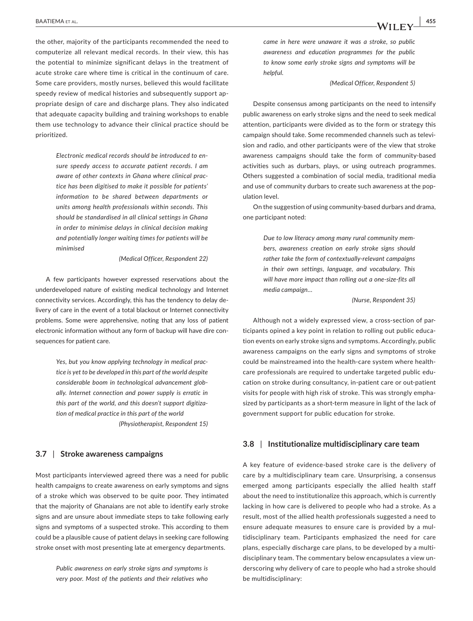the other, majority of the participants recommended the need to computerize all relevant medical records. In their view, this has the potential to minimize significant delays in the treatment of acute stroke care where time is critical in the continuum of care. Some care providers, mostly nurses, believed this would facilitate speedy review of medical histories and subsequently support appropriate design of care and discharge plans. They also indicated that adequate capacity building and training workshops to enable them use technology to advance their clinical practice should be prioritized.

> *Electronic medical records should be introduced to ensure speedy access to accurate patient records. I am aware of other contexts in Ghana where clinical practice has been digitised to make it possible for patients' information to be shared between departments or units among health professionals within seconds. This should be standardised in all clinical settings in Ghana in order to minimise delays in clinical decision making and potentially longer waiting times for patients will be minimised*

> > *(Medical Officer, Respondent 22)*

A few participants however expressed reservations about the underdeveloped nature of existing medical technology and Internet connectivity services. Accordingly, this has the tendency to delay delivery of care in the event of a total blackout or Internet connectivity problems. Some were apprehensive, noting that any loss of patient electronic information without any form of backup will have dire consequences for patient care.

> *Yes, but you know applying technology in medical practice is yet to be developed in this part of the world despite considerable boom in technological advancement globally. Internet connection and power supply is erratic in this part of the world, and this doesn't support digitization of medical practice in this part of the world (Physiotherapist, Respondent 15)*

## **3.7** | **Stroke awareness campaigns**

Most participants interviewed agreed there was a need for public health campaigns to create awareness on early symptoms and signs of a stroke which was observed to be quite poor. They intimated that the majority of Ghanaians are not able to identify early stroke signs and are unsure about immediate steps to take following early signs and symptoms of a suspected stroke. This according to them could be a plausible cause of patient delays in seeking care following stroke onset with most presenting late at emergency departments.

> *Public awareness on early stroke signs and symptoms is very poor. Most of the patients and their relatives who*

*came in here were unaware it was a stroke, so public awareness and education programmes for the public to know some early stroke signs and symptoms will be helpful.* 

*(Medical Officer, Respondent 5)*

Despite consensus among participants on the need to intensify public awareness on early stroke signs and the need to seek medical attention, participants were divided as to the form or strategy this campaign should take. Some recommended channels such as television and radio, and other participants were of the view that stroke awareness campaigns should take the form of community-based activities such as durbars, plays, or using outreach programmes. Others suggested a combination of social media, traditional media and use of community durbars to create such awareness at the population level.

On the suggestion of using community-based durbars and drama, one participant noted:

> *Due to low literacy among many rural community members, awareness creation on early stroke signs should rather take the form of contextually-relevant campaigns in their own settings, language, and vocabulary. This will have more impact than rolling out a one-size-fits all media campaign…*

> > *(Nurse, Respondent 35)*

Although not a widely expressed view, a cross-section of participants opined a key point in relation to rolling out public education events on early stroke signs and symptoms. Accordingly, public awareness campaigns on the early signs and symptoms of stroke could be mainstreamed into the health-care system where healthcare professionals are required to undertake targeted public education on stroke during consultancy, in-patient care or out-patient visits for people with high risk of stroke. This was strongly emphasized by participants as a short-term measure in light of the lack of government support for public education for stroke.

#### **3.8** | **Institutionalize multidisciplinary care team**

A key feature of evidence-based stroke care is the delivery of care by a multidisciplinary team care. Unsurprising, a consensus emerged among participants especially the allied health staff about the need to institutionalize this approach, which is currently lacking in how care is delivered to people who had a stroke. As a result, most of the allied health professionals suggested a need to ensure adequate measures to ensure care is provided by a multidisciplinary team. Participants emphasized the need for care plans, especially discharge care plans, to be developed by a multidisciplinary team. The commentary below encapsulates a view underscoring why delivery of care to people who had a stroke should be multidisciplinary: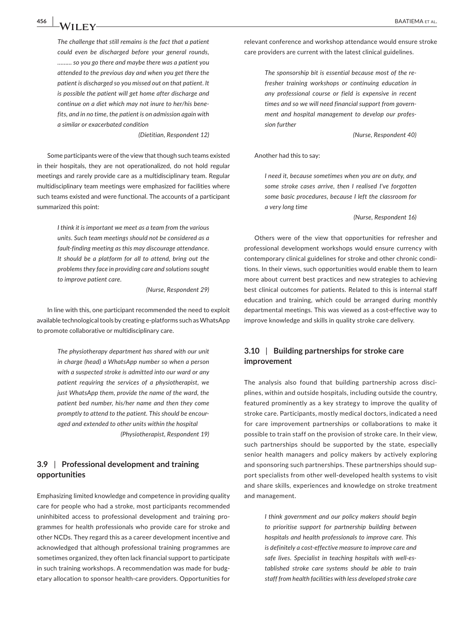*The challenge that still remains is the fact that a patient could even be discharged before your general rounds, ……… so you go there and maybe there was a patient you attended to the previous day and when you get there the patient is discharged so you missed out on that patient. It is possible the patient will get home after discharge and continue on a diet which may not inure to her/his benefits, and in no time, the patient is on admission again with a similar or exacerbated condition* 

*(Dietitian, Respondent 12)*

Some participants were of the view that though such teams existed in their hospitals, they are not operationalized, do not hold regular meetings and rarely provide care as a multidisciplinary team. Regular multidisciplinary team meetings were emphasized for facilities where such teams existed and were functional. The accounts of a participant summarized this point:

> *I think it is important we meet as a team from the various units. Such team meetings should not be considered as a fault-finding meeting as this may discourage attendance. It should be a platform for all to attend, bring out the problems they face in providing care and solutions sought to improve patient care.*

> > *(Nurse, Respondent 29)*

In line with this, one participant recommended the need to exploit available technological tools by creating e-platforms such as WhatsApp to promote collaborative or multidisciplinary care.

> *The physiotherapy department has shared with our unit in charge (head) a WhatsApp number so when a person with a suspected stroke is admitted into our ward or any patient requiring the services of a physiotherapist, we just WhatsApp them, provide the name of the ward, the patient bed number, his/her name and then they come promptly to attend to the patient. This should be encouraged and extended to other units within the hospital (Physiotherapist, Respondent 19)*

# **3.9** | **Professional development and training opportunities**

Emphasizing limited knowledge and competence in providing quality care for people who had a stroke, most participants recommended uninhibited access to professional development and training programmes for health professionals who provide care for stroke and other NCDs. They regard this as a career development incentive and acknowledged that although professional training programmes are sometimes organized, they often lack financial support to participate in such training workshops. A recommendation was made for budgetary allocation to sponsor health-care providers. Opportunities for

relevant conference and workshop attendance would ensure stroke care providers are current with the latest clinical guidelines.

> *The sponsorship bit is essential because most of the refresher training workshops or continuing education in any professional course or field is expensive in recent times and so we will need financial support from government and hospital management to develop our profession further*

> > *(Nurse, Respondent 40)*

Another had this to say:

*I need it, because sometimes when you are on duty, and some stroke cases arrive, then I realised I've forgotten some basic procedures, because I left the classroom for a very long time* 

*(Nurse, Respondent 16)*

Others were of the view that opportunities for refresher and professional development workshops would ensure currency with contemporary clinical guidelines for stroke and other chronic conditions. In their views, such opportunities would enable them to learn more about current best practices and new strategies to achieving best clinical outcomes for patients. Related to this is internal staff education and training, which could be arranged during monthly departmental meetings. This was viewed as a cost-effective way to improve knowledge and skills in quality stroke care delivery.

# **3.10** | **Building partnerships for stroke care improvement**

The analysis also found that building partnership across disciplines, within and outside hospitals, including outside the country, featured prominently as a key strategy to improve the quality of stroke care. Participants, mostly medical doctors, indicated a need for care improvement partnerships or collaborations to make it possible to train staff on the provision of stroke care. In their view, such partnerships should be supported by the state, especially senior health managers and policy makers by actively exploring and sponsoring such partnerships. These partnerships should support specialists from other well-developed health systems to visit and share skills, experiences and knowledge on stroke treatment and management.

> *I think government and our policy makers should begin to prioritise support for partnership building between hospitals and health professionals to improve care. This is definitely a cost-effective measure to improve care and safe lives. Specialist in teaching hospitals with well-established stroke care systems should be able to train staff from health facilities with less developed stroke care*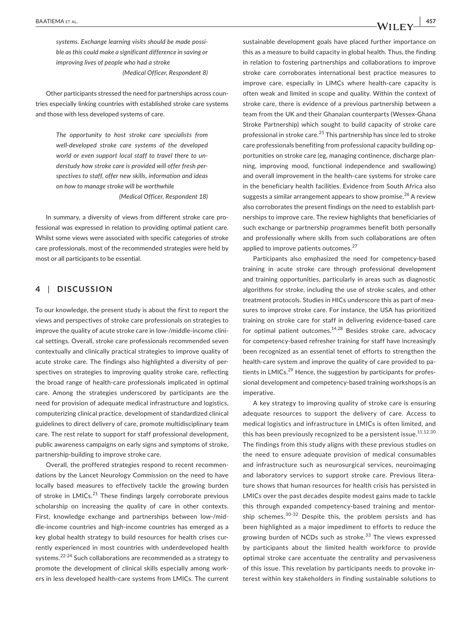*systems. Exchange learning visits should be made possible as this could make a significant difference in saving or improving lives of people who had a stroke (Medical Officer, Respondent 8)*

Other participants stressed the need for partnerships across countries especially linking countries with established stroke care systems and those with less developed systems of care.

> *The opportunity to host stroke care specialists from well-developed stroke care systems of the developed world or even support local staff to travel there to understudy how stroke care is provided will offer fresh perspectives to staff, offer new skills, information and ideas on how to manage stroke will be worthwhile*

> > *(Medical Officer, Respondent 18)*

In summary, a diversity of views from different stroke care professional was expressed in relation to providing optimal patient care. Whilst some views were associated with specific categories of stroke care professionals, most of the recommended strategies were held by most or all participants to be essential.

## **4** | **DISCUSSION**

To our knowledge, the present study is about the first to report the views and perspectives of stroke care professionals on strategies to improve the quality of acute stroke care in low-/middle-income clinical settings. Overall, stroke care professionals recommended seven contextually and clinically practical strategies to improve quality of acute stroke care. The findings also highlighted a diversity of perspectives on strategies to improving quality stroke care, reflecting the broad range of health-care professionals implicated in optimal care. Among the strategies underscored by participants are the need for provision of adequate medical infrastructure and logistics, computerizing clinical practice, development of standardized clinical guidelines to direct delivery of care, promote multidisciplinary team care. The rest relate to support for staff professional development, public awareness campaigns on early signs and symptoms of stroke, partnership-building to improve stroke care.

Overall, the proffered strategies respond to recent recommendations by the Lancet Neurology Commission on the need to have locally based measures to effectively tackle the growing burden of stroke in  $LMICS<sup>21</sup>$  These findings largely corroborate previous scholarship on increasing the quality of care in other contexts. First, knowledge exchange and partnerships between low-/middle-income countries and high-income countries has emerged as a key global health strategy to build resources for health crises currently experienced in most countries with underdeveloped health systems.<sup>22-24</sup> Such collaborations are recommended as a strategy to promote the development of clinical skills especially among workers in less developed health-care systems from LMICs. The current sustainable development goals have placed further importance on this as a measure to build capacity in global health. Thus, the finding in relation to fostering partnerships and collaborations to improve stroke care corroborates international best practice measures to improve care, especially in LIMCs where health-care capacity is often weak and limited in scope and quality. Within the context of stroke care, there is evidence of a previous partnership between a team from the UK and their Ghanaian counterparts (Wessex-Ghana Stroke Partnership) which sought to build capacity of stroke care professional in stroke care.<sup>25</sup> This partnership has since led to stroke care professionals benefiting from professional capacity building opportunities on stroke care (eg, managing continence, discharge planning, improving mood, functional independence and swallowing) and overall improvement in the health-care systems for stroke care in the beneficiary health facilities. Evidence from South Africa also suggests a similar arrangement appears to show promise.<sup>26</sup> A review also corroborates the present findings on the need to establish partnerships to improve care. The review highlights that beneficiaries of such exchange or partnership programmes benefit both personally and professionally where skills from such collaborations are often applied to improve patients outcomes.<sup>27</sup>

Participants also emphasized the need for competency-based training in acute stroke care through professional development and training opportunities, particularly in areas such as diagnostic algorithms for stroke, including the use of stroke scales, and other treatment protocols. Studies in HICs underscore this as part of measures to improve stroke care. For instance, the USA has prioritized training on stroke care for staff in delivering evidence-based care for optimal patient outcomes. $14,28$  Besides stroke care, advocacy for competency-based refresher training for staff have increasingly been recognized as an essential tenet of efforts to strengthen the health-care system and improve the quality of care provided to patients in LMICs. $^{29}$  Hence, the suggestion by participants for professional development and competency-based training workshops is an imperative.

A key strategy to improving quality of stroke care is ensuring adequate resources to support the delivery of care. Access to medical logistics and infrastructure in LMICs is often limited, and this has been previously recognized to be a persistent issue. $11,12,30$ The findings from this study aligns with these previous studies on the need to ensure adequate provision of medical consumables and infrastructure such as neurosurgical services, neuroimaging and laboratory services to support stroke care. Previous literature shows that human resources for health crisis has persisted in LMICs over the past decades despite modest gains made to tackle this through expanded competency-based training and mentorship schemes.<sup>30-32</sup> Despite this, the problem persists and has been highlighted as a major impediment to efforts to reduce the growing burden of NCDs such as stroke.<sup>33</sup> The views expressed by participants about the limited health workforce to provide optimal stroke care accentuate the centrality and pervasiveness of this issue. This revelation by participants needs to provoke interest within key stakeholders in finding sustainable solutions to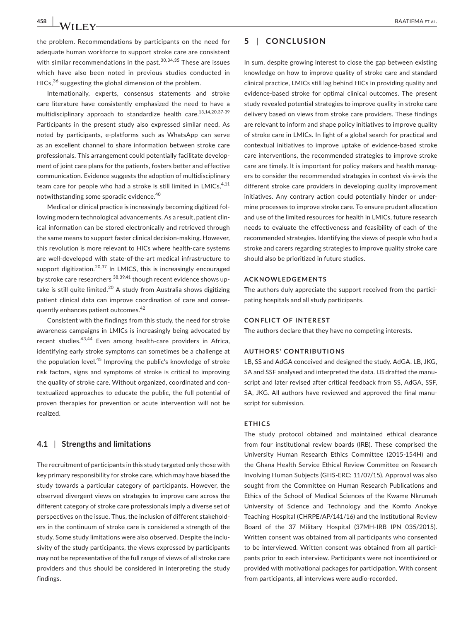**458 |**  BAATIEMA et al.

the problem. Recommendations by participants on the need for adequate human workforce to support stroke care are consistent with similar recommendations in the past.<sup>30,34,35</sup> These are issues which have also been noted in previous studies conducted in HICs,<sup>36</sup> suggesting the global dimension of the problem.

Internationally, experts, consensus statements and stroke care literature have consistently emphasized the need to have a multidisciplinary approach to standardize health care.<sup>13,14,20,37-39</sup> Participants in the present study also expressed similar need. As noted by participants, e-platforms such as WhatsApp can serve as an excellent channel to share information between stroke care professionals. This arrangement could potentially facilitate development of joint care plans for the patients, fosters better and effective communication. Evidence suggests the adoption of multidisciplinary team care for people who had a stroke is still limited in LMICs, $4,11$ notwithstanding some sporadic evidence.<sup>40</sup>

Medical or clinical practice is increasingly becoming digitized following modern technological advancements. As a result, patient clinical information can be stored electronically and retrieved through the same means to support faster clinical decision-making. However, this revolution is more relevant to HICs where health-care systems are well-developed with state-of-the-art medical infrastructure to support digitization.<sup>20,37</sup> In LMICS, this is increasingly encouraged by stroke care researchers <sup>38,39,41</sup> though recent evidence shows uptake is still quite limited.<sup>20</sup> A study from Australia shows digitizing patient clinical data can improve coordination of care and consequently enhances patient outcomes.<sup>42</sup>

Consistent with the findings from this study, the need for stroke awareness campaigns in LMICs is increasingly being advocated by recent studies.43,44 Even among health-care providers in Africa, identifying early stroke symptoms can sometimes be a challenge at the population level.<sup>45</sup> Improving the public's knowledge of stroke risk factors, signs and symptoms of stroke is critical to improving the quality of stroke care. Without organized, coordinated and contextualized approaches to educate the public, the full potential of proven therapies for prevention or acute intervention will not be realized.

#### **4.1** | **Strengths and limitations**

The recruitment of participants in this study targeted only those with key primary responsibility for stroke care, which may have biased the study towards a particular category of participants. However, the observed divergent views on strategies to improve care across the different category of stroke care professionals imply a diverse set of perspectives on the issue. Thus, the inclusion of different stakeholders in the continuum of stroke care is considered a strength of the study. Some study limitations were also observed. Despite the inclusivity of the study participants, the views expressed by participants may not be representative of the full range of views of all stroke care providers and thus should be considered in interpreting the study findings.

# **5** | **CONCLUSION**

In sum, despite growing interest to close the gap between existing knowledge on how to improve quality of stroke care and standard clinical practice, LMICs still lag behind HICs in providing quality and evidence-based stroke for optimal clinical outcomes. The present study revealed potential strategies to improve quality in stroke care delivery based on views from stroke care providers. These findings are relevant to inform and shape policy initiatives to improve quality of stroke care in LMICs. In light of a global search for practical and contextual initiatives to improve uptake of evidence-based stroke care interventions, the recommended strategies to improve stroke care are timely. It is important for policy makers and health managers to consider the recommended strategies in context vis-à-vis the different stroke care providers in developing quality improvement initiatives. Any contrary action could potentially hinder or undermine processes to improve stroke care. To ensure prudent allocation and use of the limited resources for health in LMICs, future research needs to evaluate the effectiveness and feasibility of each of the recommended strategies. Identifying the views of people who had a stroke and carers regarding strategies to improve quality stroke care should also be prioritized in future studies.

#### **ACKNOWLEDGEMENTS**

The authors duly appreciate the support received from the participating hospitals and all study participants.

#### **CONFLICT OF INTEREST**

The authors declare that they have no competing interests.

#### **AUTHORS' CONTRIBUTIONS**

LB, SS and AdGA conceived and designed the study. AdGA. LB, JKG, SA and SSF analysed and interpreted the data. LB drafted the manuscript and later revised after critical feedback from SS, AdGA, SSF, SA, JKG. All authors have reviewed and approved the final manuscript for submission.

#### **ETHICS**

The study protocol obtained and maintained ethical clearance from four institutional review boards (IRB). These comprised the University Human Research Ethics Committee (2015-154H) and the Ghana Health Service Ethical Review Committee on Research Involving Human Subjects (GHS-ERC: 11/07/15). Approval was also sought from the Committee on Human Research Publications and Ethics of the School of Medical Sciences of the Kwame Nkrumah University of Science and Technology and the Komfo Anokye Teaching Hospital (CHRPE/AP/141/16) and the Institutional Review Board of the 37 Military Hospital (37MH-IRB IPN 035/2015). Written consent was obtained from all participants who consented to be interviewed. Written consent was obtained from all participants prior to each interview. Participants were not incentivized or provided with motivational packages for participation. With consent from participants, all interviews were audio-recorded.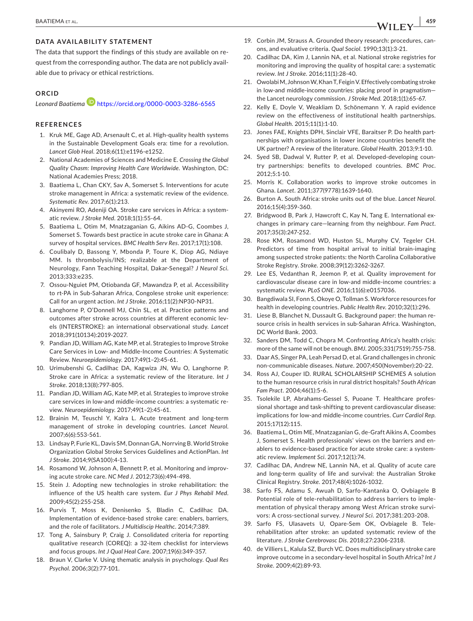# **DATA AVAILABILITY STATEMENT**

The data that support the findings of this study are available on request from the corresponding author. The data are not publicly available due to privacy or ethical restrictions.

#### **ORCID**

*Leonard Baatiema* <https://orcid.org/0000-0003-3286-6565>

# **REFERENCES**

- 1. Kruk ME, Gage AD, Arsenault C, et al. High-quality health systems in the Sustainable Development Goals era: time for a revolution. *Lancet Glob Heal*. 2018;6(11):e1196-e1252.
- 2. National Academies of Sciences and Medicine E. *Crossing the Global Quality Chasm: Improving Health Care Worldwide*. Washington, DC: National Academies Press; 2018.
- 3. Baatiema L, Chan CKY, Sav A, Somerset S. Interventions for acute stroke management in Africa: a systematic review of the evidence. *Systematic Rev*. 2017;6(1):213.
- 4. Akinyemi RO, Adeniji OA. Stroke care services in Africa: a systematic review. *J Stroke Med*. 2018;1(1):55-64.
- 5. Baatiema L, Otim M, Mnatzaganian G, Aikins AD-G, Coombes J, Somerset S. Towards best practice in acute stroke care in Ghana: A survey of hospital services. *BMC Health Serv Res*. 2017;17(1):108.
- 6. Coulibaly D, Bassong Y, Mbonda P, Toure K, Diop AG, Ndiaye MM. Is thrombolysis/INS; realizable at the Department of Neurology, Fann Teaching Hospital, Dakar-Senegal? *J Neurol Sci*. 2013;333:e235.
- 7. Ossou-Nguiet PM, Otiobanda GF, Mawandza P, et al. Accessibility to rt-PA in Sub-Saharan Africa, Congolese stroke unit experience: Call for an urgent action. *Int J Stroke*. 2016;11(2):NP30-NP31.
- 8. Langhorne P, O'Donnell MJ, Chin SL, et al. Practice patterns and outcomes after stroke across countries at different economic levels (INTERSTROKE): an international observational study. *Lancet* 2018;391(10134):2019-2027.
- 9. Pandian JD, William AG, Kate MP, et al. Strategies to Improve Stroke Care Services in Low- and Middle-Income Countries: A Systematic Review. *Neuroepidemiology*. 2017;49(1–2):45-61.
- 10. Urimubenshi G, Cadilhac DA, Kagwiza JN, Wu O, Langhorne P. Stroke care in Africa: a systematic review of the literature. *Int J Stroke*. 2018;13(8):797-805.
- 11. Pandian JD, William AG, Kate MP, et al. Strategies to improve stroke care services in low-and middle-income countries: a systematic review. *Neuroepidemiology*. 2017;49(1–2):45-61.
- 12. Brainin M, Teuschl Y, Kalra L. Acute treatment and long-term management of stroke in developing countries. *Lancet Neurol*. 2007;6(6):553-561.
- 13. Lindsay P, Furie KL, Davis SM, Donnan GA, Norrving B. World Stroke Organization Global Stroke Services Guidelines and ActionPlan. *Int J Stroke*. 2014;9(SA100):4-13.
- 14. Rosamond W, Johnson A, Bennett P, et al. Monitoring and improving acute stroke care. *NC Med J*. 2012;73(6):494-498.
- 15. Stein J. Adopting new technologies in stroke rehabilitation: the influence of the US health care system. *Eur J Phys Rehabil Med*. 2009;45(2):255-258.
- 16. Purvis T, Moss K, Denisenko S, Bladin C, Cadilhac DA. Implementation of evidence-based stroke care: enablers, barriers, and the role of facilitators. *J Multidiscip Healthc*. 2014;7:389.
- 17. Tong A, Sainsbury P, Craig J. Consolidated criteria for reporting qualitative research (COREQ): a 32-item checklist for interviews and focus groups. *Int J Qual Heal Care*. 2007;19(6):349-357.
- 18. Braun V, Clarke V. Using thematic analysis in psychology. *Qual Res Psychol*. 2006;3(2):77-101.
- 19. Corbin JM, Strauss A. Grounded theory research: procedures, canons, and evaluative criteria. *Qual Sociol*. 1990;13(1):3-21.
- 20. Cadilhac DA, Kim J, Lannin NA, et al. National stroke registries for monitoring and improving the quality of hospital care: a systematic review. *Int J Stroke*. 2016;11(1):28-40.
- 21. Owolabi M, Johnson W, Khan T, Feigin V. Effectively combating stroke in low-and middle-income countries: placing proof in pragmatism the Lancet neurology commission. *J Stroke Med*. 2018;1(1):65-67.
- 22. Kelly E, Doyle V, Weakliam D, Schönemann Y. A rapid evidence review on the effectiveness of institutional health partnerships. *Global Health*. 2015;11(1):1-10.
- 23. Jones FAE, Knights DPH, Sinclair VFE, Baraitser P. Do health partnerships with organisations in lower income countries benefit the UK partner? A review of the literature. *Global Health.* 2013;9:1-10.
- 24. Syed SB, Dadwal V, Rutter P, et al. Developed-developing country partnerships: benefits to developed countries. *BMC Proc*.  $2012.5:1-10$
- 25. Morris K. Collaboration works to improve stroke outcomes in Ghana. *Lancet*. 2011;377(9778):1639-1640.
- 26. Burton A. South Africa: stroke units out of the blue. *Lancet Neurol*. 2016;15(4):359-360.
- 27. Bridgwood B, Park J, Hawcroft C, Kay N, Tang E. International exchanges in primary care—learning from thy neighbour. *Fam Pract*. 2017;35(3):247-252.
- 28. Rose KM, Rosamond WD, Huston SL, Murphy CV, Tegeler CH. Predictors of time from hospital arrival to initial brain-imaging among suspected stroke patients: the North Carolina Collaborative Stroke Registry. *Stroke*. 2008;39(12):3262-3267.
- 29. Lee ES, Vedanthan R, Jeemon P, et al. Quality improvement for cardiovascular disease care in low-and middle-income countries: a systematic review. *PLoS ONE*. 2016;11(6):e0157036.
- 30. Bangdiwala SI, Fonn S, Okoye O, Tollman S. Workforce resources for health in developing countries. *Public Health Rev*. 2010;32(1):296.
- 31. Liese B, Blanchet N, Dussault G. Background paper: the human resource crisis in health services in sub-Saharan Africa. Washington, DC World Bank. 2003.
- 32. Sanders DM, Todd C, Chopra M. Confronting Africa's health crisis: more of the same will not be enough. *BMJ*. 2005;331(7519):755-758.
- 33. Daar AS, Singer PA, Leah Persad D, et al. Grand challenges in chronic non-communicable diseases. *Nature*. 2007;450(November):20-22.
- 34. Ross AJ, Couper ID. RURAL SCHOLARSHIP SCHEMES A solution to the human resource crisis in rural district hospitals? *South African Fam Pract*. 2004;46(1):5-6.
- 35. Tsolekile LP, Abrahams-Gessel S, Puoane T. Healthcare professional shortage and task-shifting to prevent cardiovascular disease: implications for low-and middle-income countries. *Curr Cardiol Rep*. 2015;17(12):115.
- 36. Baatiema L, Otim ME, Mnatzaganian G, de-Graft Aikins A, Coombes J, Somerset S. Health professionals' views on the barriers and enablers to evidence-based practice for acute stroke care: a systematic review. *Implement Sci*. 2017;12(1):74.
- 37. Cadilhac DA, Andrew NE, Lannin NA, et al. Quality of acute care and long-term quality of life and survival: the Australian Stroke Clinical Registry. *Stroke*. 2017;48(4):1026-1032.
- 38. Sarfo FS, Adamu S, Awuah D, Sarfo-Kantanka O, Ovbiagele B Potential role of tele-rehabilitation to address barriers to implementation of physical therapy among West African stroke survivors: A cross-sectional survey. *J Neurol Sci*. 2017;381:203-208.
- 39. Sarfo FS, Ulasavets U, Opare-Sem OK, Ovbiagele B. Telerehabilitation after stroke: an updated systematic review of the literature. *J Stroke Cerebrovasc Dis*. 2018;27:2306-2318.
- 40. de Villiers L, Kalula SZ, Burch VC. Does multidisciplinary stroke care improve outcome in a secondary-level hospital in South Africa? *Int J Stroke*. 2009;4(2):89-93.